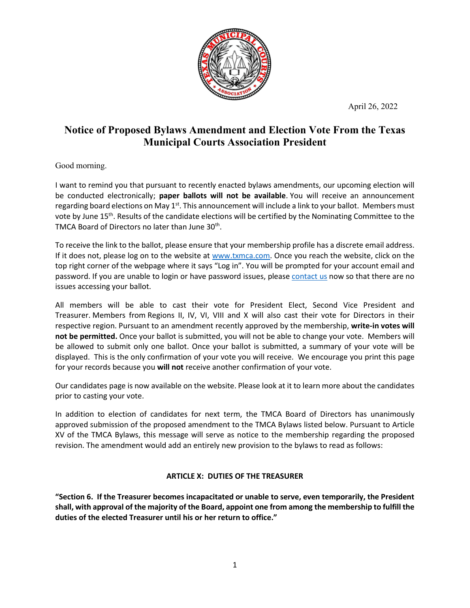April 26, 2022



## **Notice of Proposed Bylaws Amendment and Election Vote From the Texas Municipal Courts Association President**

## Good morning.

I want to remind you that pursuant to recently enacted bylaws amendments, our upcoming election will be conducted electronically; **paper ballots will not be available**. You will receive an announcement regarding board elections on May  $1<sup>st</sup>$ . This announcement will include a link to your ballot. Members must vote by June 15<sup>th</sup>. Results of the candidate elections will be certified by the Nominating Committee to the TMCA Board of Directors no later than June 30<sup>th</sup>.

To receive the link to the ballot, please ensure that your membership profile has a discrete email address. If it does not, please log on to the website at [www.txmca.com.](http://www.txmca.com/) Once you reach the website, click on the top right corner of the webpage where it says "Log in". You will be prompted for your account email and password. If you are unable to login or have password issues, please [contact us](https://gcc02.safelinks.protection.outlook.com/?url=https%3A%2F%2Fdocs.google.com%2Fforms%2Fd%2Fe%2F1FAIpQLSf1lUg3SR1iiK8hSk87dTSLZQSAqOSOooUahujd29f5Lplj3A%2Fviewform%3Fusp%3Dsf_link&data=04%7C01%7Cmichael.acuna%40dallascityhall.com%7Cf84b0edb9b4e45d1d68c08da140c8427%7C2935709ec10c4809a302852d369f8700%7C0%7C0%7C637844341230058741%7CUnknown%7CTWFpbGZsb3d8eyJWIjoiMC4wLjAwMDAiLCJQIjoiV2luMzIiLCJBTiI6Ik1haWwiLCJXVCI6Mn0%3D%7C3000&sdata=YDoMTQFlHW%2FKQoupOfenC0i9cnT736jhah2UfWPu3YE%3D&reserved=0) now so that there are no issues accessing your ballot.

All members will be able to cast their vote for President Elect, Second Vice President and Treasurer. Members from Regions II, IV, VI, VIII and X will also cast their vote for Directors in their respective region. Pursuant to an amendment recently approved by the membership, **write-in votes will not be permitted.** Once your ballot is submitted, you will not be able to change your vote. Members will be allowed to submit only one ballot. Once your ballot is submitted, a summary of your vote will be displayed. This is the only confirmation of your vote you will receive. We encourage you print this page for your records because you **will not** receive another confirmation of your vote.

Our candidates page is now available on the website. Please look at it to learn more about the candidates prior to casting your vote.

In addition to election of candidates for next term, the TMCA Board of Directors has unanimously approved submission of the proposed amendment to the TMCA Bylaws listed below. Pursuant to Article XV of the TMCA Bylaws, this message will serve as notice to the membership regarding the proposed revision. The amendment would add an entirely new provision to the bylaws to read as follows:

## **ARTICLE X: DUTIES OF THE TREASURER**

**"Section 6. If the Treasurer becomes incapacitated or unable to serve, even temporarily, the President shall, with approval of the majority of the Board, appoint one from among the membership to fulfill the duties of the elected Treasurer until his or her return to office."**